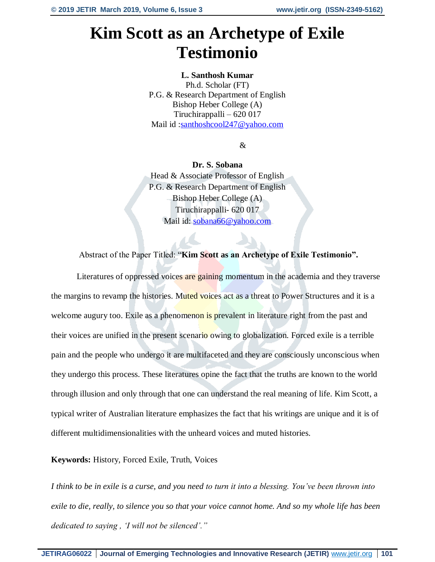# **Kim Scott as an Archetype of Exile Testimonio**

## **L. Santhosh Kumar**

Ph.d. Scholar (FT) P.G. & Research Department of English Bishop Heber College (A) Tiruchirappalli – 620 017 Mail id: santhoshcool247@yahoo.com

&

**Dr. S. Sobana** Head & Associate Professor of English P.G. & Research Department of English Bishop Heber College (A) Tiruchirappalli- 620 017 Mail id: [sobana66@yahoo.com](mailto:sobana66@yahoo.com)

## Abstract of the Paper Titled: "**Kim Scott as an Archetype of Exile Testimonio".**

Literatures of oppressed voices are gaining momentum in the academia and they traverse the margins to revamp the histories. Muted voices act as a threat to Power Structures and it is a welcome augury too. Exile as a phenomenon is prevalent in literature right from the past and their voices are unified in the present scenario owing to globalization. Forced exile is a terrible pain and the people who undergo it are multifaceted and they are consciously unconscious when they undergo this process. These literatures opine the fact that the truths are known to the world through illusion and only through that one can understand the real meaning of life. Kim Scott, a typical writer of Australian literature emphasizes the fact that his writings are unique and it is of different multidimensionalities with the unheard voices and muted histories.

## **Keywords:** History, Forced Exile, Truth, Voices

*I think to be in exile is a curse, and you need to turn it into a blessing. You've been thrown into exile to die, really, to silence you so that your voice cannot home. And so my whole life has been dedicated to saying , 'I will not be silenced'."*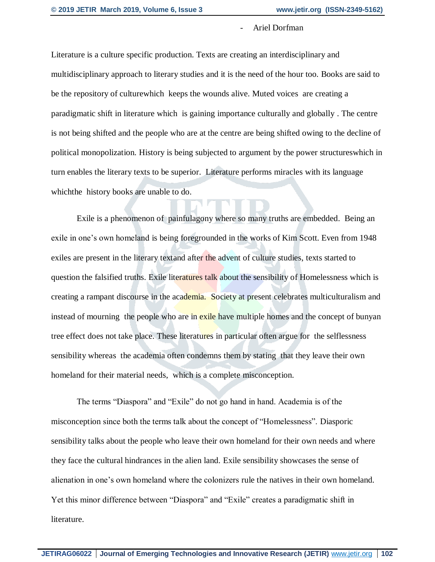#### Ariel Dorfman

Literature is a culture specific production. Texts are creating an interdisciplinary and multidisciplinary approach to literary studies and it is the need of the hour too. Books are said to be the repository of culturewhich keeps the wounds alive. Muted voices are creating a paradigmatic shift in literature which is gaining importance culturally and globally . The centre is not being shifted and the people who are at the centre are being shifted owing to the decline of political monopolization. History is being subjected to argument by the power structureswhich in turn enables the literary texts to be superior. Literature performs miracles with its language whichthe history books are unable to do.

Exile is a phenomenon of painfulagony where so many truths are embedded. Being an exile in one's own homeland is being foregrounded in the works of Kim Scott. Even from 1948 exiles are present in the literary textand after the advent of culture studies, texts started to question the falsified truths. Exile literatures talk about the sensibility of Homelessness which is creating a rampant discourse in the academia. Society at present celebrates multiculturalism and instead of mourning the people who are in exile have multiple homes and the concept of bunyan tree effect does not take place. These literatures in particular often argue for the selflessness sensibility whereas the academia often condemns them by stating that they leave their own homeland for their material needs, which is a complete misconception.

The terms "Diaspora" and "Exile" do not go hand in hand. Academia is of the misconception since both the terms talk about the concept of "Homelessness". Diasporic sensibility talks about the people who leave their own homeland for their own needs and where they face the cultural hindrances in the alien land. Exile sensibility showcases the sense of alienation in one's own homeland where the colonizers rule the natives in their own homeland. Yet this minor difference between "Diaspora" and "Exile" creates a paradigmatic shift in literature.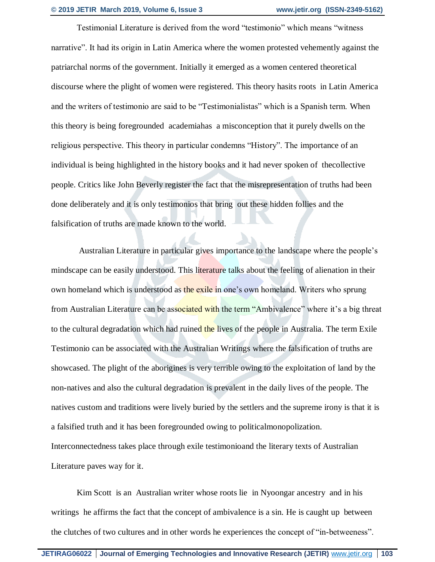Testimonial Literature is derived from the word "testimonio" which means "witness narrative". It had its origin in Latin America where the women protested vehemently against the patriarchal norms of the government. Initially it emerged as a women centered theoretical discourse where the plight of women were registered. This theory hasits roots in Latin America and the writers of testimonio are said to be "Testimonialistas" which is a Spanish term. When this theory is being foregrounded academiahas a misconception that it purely dwells on the religious perspective. This theory in particular condemns "History". The importance of an individual is being highlighted in the history books and it had never spoken of thecollective people. Critics like John Beverly register the fact that the misrepresentation of truths had been done deliberately and it is only testimonios that bring out these hidden follies and the falsification of truths are made known to the world.

 Australian Literature in particular gives importance to the landscape where the people's mindscape can be easily understood. This literature talks about the feeling of alienation in their own homeland which is understood as the exile in one's own homeland. Writers who sprung from Australian Literature can be associated with the term "Ambivalence" where it's a big threat to the cultural degradation which had ruined the lives of the people in Australia. The term Exile Testimonio can be associated with the Australian Writings where the falsification of truths are showcased. The plight of the aborigines is very terrible owing to the exploitation of land by the non-natives and also the cultural degradation is prevalent in the daily lives of the people. The natives custom and traditions were lively buried by the settlers and the supreme irony is that it is a falsified truth and it has been foregrounded owing to politicalmonopolization. Interconnectedness takes place through exile testimonioand the literary texts of Australian Literature paves way for it.

Kim Scott is an Australian writer whose roots lie in Nyoongar ancestry and in his writings he affirms the fact that the concept of ambivalence is a sin. He is caught up between the clutches of two cultures and in other words he experiences the concept of "in-betweeness".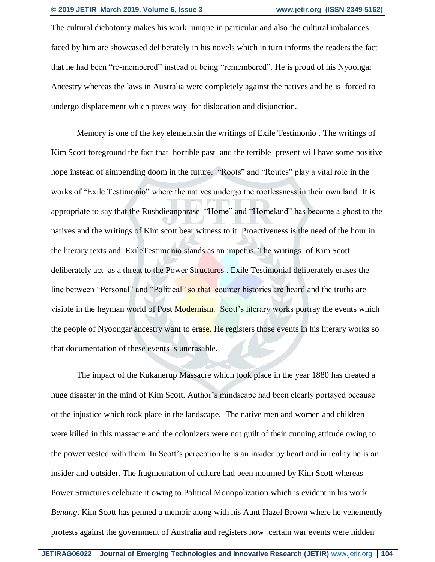The cultural dichotomy makes his work unique in particular and also the cultural imbalances faced by him are showcased deliberately in his novels which in turn informs the readers the fact that he had been "re-membered" instead of being "remembered". He is proud of his Nyoongar Ancestry whereas the laws in Australia were completely against the natives and he is forced to undergo displacement which paves way for dislocation and disjunction.

Memory is one of the key elementsin the writings of Exile Testimonio . The writings of Kim Scott foreground the fact that horrible past and the terrible present will have some positive hope instead of aimpending doom in the future. "Roots" and "Routes" play a vital role in the works of "Exile Testimonio" where the natives undergo the rootlessness in their own land. It is appropriate to say that the Rushdieanphrase "Home" and "Homeland" has become a ghost to the natives and the writings of Kim scott bear witness to it. Proactiveness is the need of the hour in the literary texts and ExileTestimonio stands as an impetus. The writings of Kim Scott deliberately act as a threat to the Power Structures . Exile Testimonial deliberately erases the line between "Personal" and "Political" so that counter histories are heard and the truths are visible in the heyman world of Post Modernism. Scott's literary works portray the events which the people of Nyoongar ancestry want to erase. He registers those events in his literary works so that documentation of these events is unerasable.

The impact of the Kukanerup Massacre which took place in the year 1880 has created a huge disaster in the mind of Kim Scott. Author's mindscape had been clearly portayed because of the injustice which took place in the landscape. The native men and women and children were killed in this massacre and the colonizers were not guilt of their cunning attitude owing to the power vested with them. In Scott's perception he is an insider by heart and in reality he is an insider and outsider. The fragmentation of culture had been mourned by Kim Scott whereas Power Structures celebrate it owing to Political Monopolization which is evident in his work *Benang*. Kim Scott has penned a memoir along with his Aunt Hazel Brown where he vehemently protests against the government of Australia and registers how certain war events were hidden